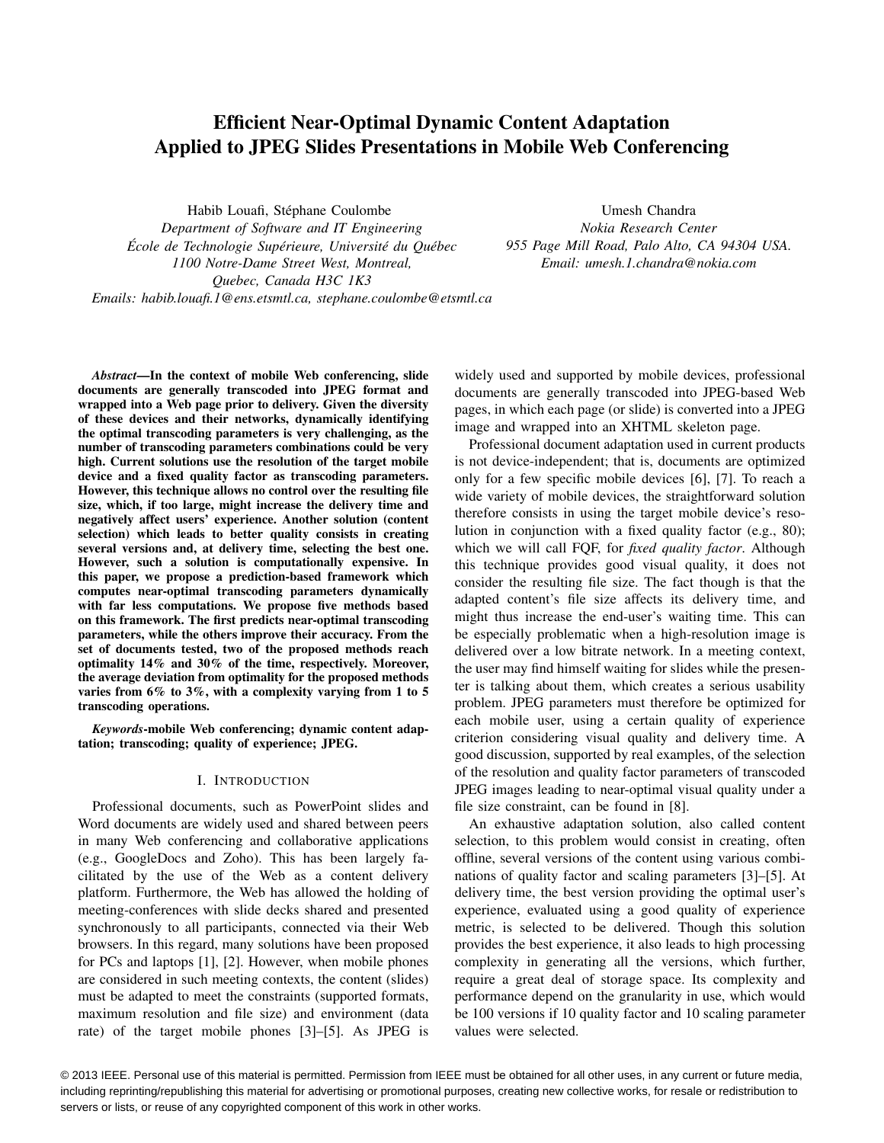# Efficient Near-Optimal Dynamic Content Adaptation Applied to JPEG Slides Presentations in Mobile Web Conferencing

Habib Louafi, Stéphane Coulombe

*Department of Software and IT Engineering Ecole de Technologie Sup ´ erieure, Universit ´ e du Qu ´ ebec ´ 1100 Notre-Dame Street West, Montreal, Quebec, Canada H3C 1K3*

Umesh Chandra *Nokia Research Center 955 Page Mill Road, Palo Alto, CA 94304 USA. Email: umesh.1.chandra@nokia.com*

*Emails: habib.louafi.1@ens.etsmtl.ca, stephane.coulombe@etsmtl.ca*

*Abstract*—In the context of mobile Web conferencing, slide documents are generally transcoded into JPEG format and wrapped into a Web page prior to delivery. Given the diversity of these devices and their networks, dynamically identifying the optimal transcoding parameters is very challenging, as the number of transcoding parameters combinations could be very high. Current solutions use the resolution of the target mobile device and a fixed quality factor as transcoding parameters. However, this technique allows no control over the resulting file size, which, if too large, might increase the delivery time and negatively affect users' experience. Another solution (content selection) which leads to better quality consists in creating several versions and, at delivery time, selecting the best one. However, such a solution is computationally expensive. In this paper, we propose a prediction-based framework which computes near-optimal transcoding parameters dynamically with far less computations. We propose five methods based on this framework. The first predicts near-optimal transcoding parameters, while the others improve their accuracy. From the set of documents tested, two of the proposed methods reach optimality 14% and 30% of the time, respectively. Moreover, the average deviation from optimality for the proposed methods varies from 6% to 3%, with a complexity varying from 1 to 5 transcoding operations.

*Keywords*-mobile Web conferencing; dynamic content adaptation; transcoding; quality of experience; JPEG.

# I. INTRODUCTION

Professional documents, such as PowerPoint slides and Word documents are widely used and shared between peers in many Web conferencing and collaborative applications (e.g., GoogleDocs and Zoho). This has been largely facilitated by the use of the Web as a content delivery platform. Furthermore, the Web has allowed the holding of meeting-conferences with slide decks shared and presented synchronously to all participants, connected via their Web browsers. In this regard, many solutions have been proposed for PCs and laptops [1], [2]. However, when mobile phones are considered in such meeting contexts, the content (slides) must be adapted to meet the constraints (supported formats, maximum resolution and file size) and environment (data rate) of the target mobile phones [3]–[5]. As JPEG is

widely used and supported by mobile devices, professional documents are generally transcoded into JPEG-based Web pages, in which each page (or slide) is converted into a JPEG image and wrapped into an XHTML skeleton page.

Professional document adaptation used in current products is not device-independent; that is, documents are optimized only for a few specific mobile devices [6], [7]. To reach a wide variety of mobile devices, the straightforward solution therefore consists in using the target mobile device's resolution in conjunction with a fixed quality factor (e.g., 80); which we will call FQF, for *fixed quality factor*. Although this technique provides good visual quality, it does not consider the resulting file size. The fact though is that the adapted content's file size affects its delivery time, and might thus increase the end-user's waiting time. This can be especially problematic when a high-resolution image is delivered over a low bitrate network. In a meeting context, the user may find himself waiting for slides while the presenter is talking about them, which creates a serious usability problem. JPEG parameters must therefore be optimized for each mobile user, using a certain quality of experience criterion considering visual quality and delivery time. A good discussion, supported by real examples, of the selection of the resolution and quality factor parameters of transcoded JPEG images leading to near-optimal visual quality under a file size constraint, can be found in [8].

An exhaustive adaptation solution, also called content selection, to this problem would consist in creating, often offline, several versions of the content using various combinations of quality factor and scaling parameters [3]–[5]. At delivery time, the best version providing the optimal user's experience, evaluated using a good quality of experience metric, is selected to be delivered. Though this solution provides the best experience, it also leads to high processing complexity in generating all the versions, which further, require a great deal of storage space. Its complexity and performance depend on the granularity in use, which would be 100 versions if 10 quality factor and 10 scaling parameter values were selected.

© 2013 IEEE. Personal use of this material is permitted. Permission from IEEE must be obtained for all other uses, in any current or future media, including reprinting/republishing this material for advertising or promotional purposes, creating new collective works, for resale or redistribution to servers or lists, or reuse of any copyrighted component of this work in other works.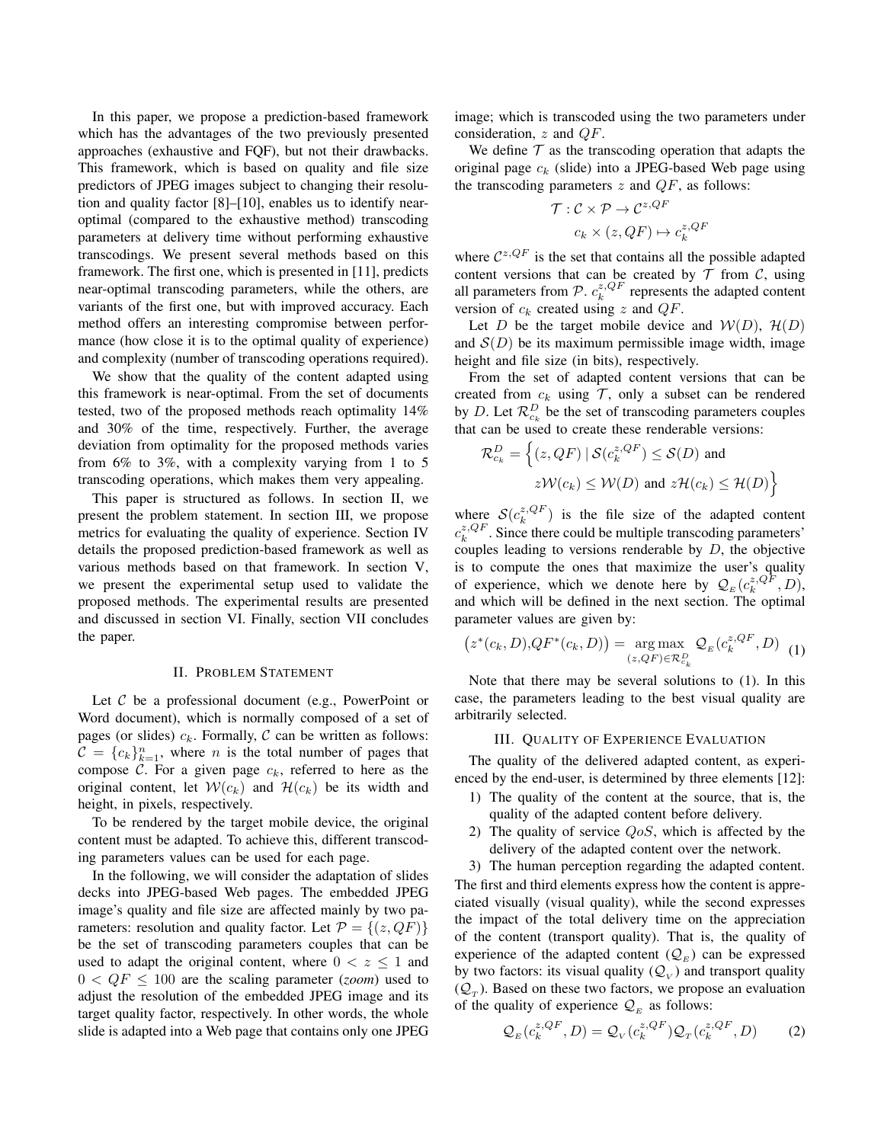In this paper, we propose a prediction-based framework which has the advantages of the two previously presented approaches (exhaustive and FQF), but not their drawbacks. This framework, which is based on quality and file size predictors of JPEG images subject to changing their resolution and quality factor [8]–[10], enables us to identify nearoptimal (compared to the exhaustive method) transcoding parameters at delivery time without performing exhaustive transcodings. We present several methods based on this framework. The first one, which is presented in [11], predicts near-optimal transcoding parameters, while the others, are variants of the first one, but with improved accuracy. Each method offers an interesting compromise between performance (how close it is to the optimal quality of experience) and complexity (number of transcoding operations required).

We show that the quality of the content adapted using this framework is near-optimal. From the set of documents tested, two of the proposed methods reach optimality 14% and 30% of the time, respectively. Further, the average deviation from optimality for the proposed methods varies from 6% to 3%, with a complexity varying from 1 to 5 transcoding operations, which makes them very appealing.

This paper is structured as follows. In section II, we present the problem statement. In section III, we propose metrics for evaluating the quality of experience. Section IV details the proposed prediction-based framework as well as various methods based on that framework. In section V, we present the experimental setup used to validate the proposed methods. The experimental results are presented and discussed in section VI. Finally, section VII concludes the paper.

#### II. PROBLEM STATEMENT

Let  $C$  be a professional document (e.g., PowerPoint or Word document), which is normally composed of a set of pages (or slides)  $c_k$ . Formally,  $C$  can be written as follows:  $\mathcal{C} = \{c_k\}_{k=1}^n$ , where *n* is the total number of pages that compose  $C$ . For a given page  $c_k$ , referred to here as the original content, let  $W(c_k)$  and  $\mathcal{H}(c_k)$  be its width and height, in pixels, respectively.

To be rendered by the target mobile device, the original content must be adapted. To achieve this, different transcoding parameters values can be used for each page.

In the following, we will consider the adaptation of slides decks into JPEG-based Web pages. The embedded JPEG image's quality and file size are affected mainly by two parameters: resolution and quality factor. Let  $\mathcal{P} = \{(z, QF)\}\$ be the set of transcoding parameters couples that can be used to adapt the original content, where  $0 < z < 1$  and  $0 < QF < 100$  are the scaling parameter (*zoom*) used to adjust the resolution of the embedded JPEG image and its target quality factor, respectively. In other words, the whole slide is adapted into a Web page that contains only one JPEG image; which is transcoded using the two parameters under consideration, z and QF.

We define  $\mathcal T$  as the transcoding operation that adapts the original page  $c_k$  (slide) into a JPEG-based Web page using the transcoding parameters  $z$  and  $QF$ , as follows:

$$
\mathcal{T}: \mathcal{C} \times \mathcal{P} \to \mathcal{C}^{z, QF}
$$

$$
c_k \times (z, QF) \mapsto c_k^{z, QF}
$$

where  $\mathcal{C}^{z, QF}$  is the set that contains all the possible adapted content versions that can be created by  $T$  from  $C$ , using all parameters from  $P$ .  $c_k^{z,QF}$  represents the adapted content version of  $c_k$  created using z and  $QF$ .

Let D be the target mobile device and  $W(D)$ ,  $\mathcal{H}(D)$ and  $S(D)$  be its maximum permissible image width, image height and file size (in bits), respectively.

From the set of adapted content versions that can be created from  $c_k$  using  $\mathcal T$ , only a subset can be rendered by D. Let  $\mathcal{R}_{c_k}^D$  be the set of transcoding parameters couples that can be used to create these renderable versions:

$$
\mathcal{R}_{c_k}^D = \left\{ (z, QF) \mid \mathcal{S}(c_k^{z, QF}) \le \mathcal{S}(D) \text{ and}
$$
  
 
$$
z \mathcal{W}(c_k) \le \mathcal{W}(D) \text{ and } z \mathcal{H}(c_k) \le \mathcal{H}(D) \right\}
$$

where  $\mathcal{S}(c_k^{z,QF})$  is the file size of the adapted content  $c_k^{z, QF}$ . Since there could be multiple transcoding parameters' couples leading to versions renderable by  $D$ , the objective is to compute the ones that maximize the user's quality of experience, which we denote here by  $\mathcal{Q}_E(c_k^{z,QF}, D)$ , and which will be defined in the next section. The optimal parameter values are given by:

$$
(z^*(c_k, D), QF^*(c_k, D)) = \underset{(z, QF) \in \mathcal{R}_{c_k}^D}{\arg \max} \mathcal{Q}_E(c_k^{z, QF}, D) \tag{1}
$$

Note that there may be several solutions to (1). In this case, the parameters leading to the best visual quality are arbitrarily selected.

#### III. QUALITY OF EXPERIENCE EVALUATION

The quality of the delivered adapted content, as experienced by the end-user, is determined by three elements [12]:

- 1) The quality of the content at the source, that is, the quality of the adapted content before delivery.
- 2) The quality of service  $QoS$ , which is affected by the delivery of the adapted content over the network.

3) The human perception regarding the adapted content. The first and third elements express how the content is appreciated visually (visual quality), while the second expresses the impact of the total delivery time on the appreciation of the content (transport quality). That is, the quality of experience of the adapted content  $(Q<sub>E</sub>)$  can be expressed by two factors: its visual quality  $(Q_v)$  and transport quality  $(Q_T)$ . Based on these two factors, we propose an evaluation of the quality of experience  $\mathcal{Q}_E$  as follows:

$$
\mathcal{Q}_E(c_k^{z,QF}, D) = \mathcal{Q}_V(c_k^{z,QF})\mathcal{Q}_T(c_k^{z,QF}, D)
$$
 (2)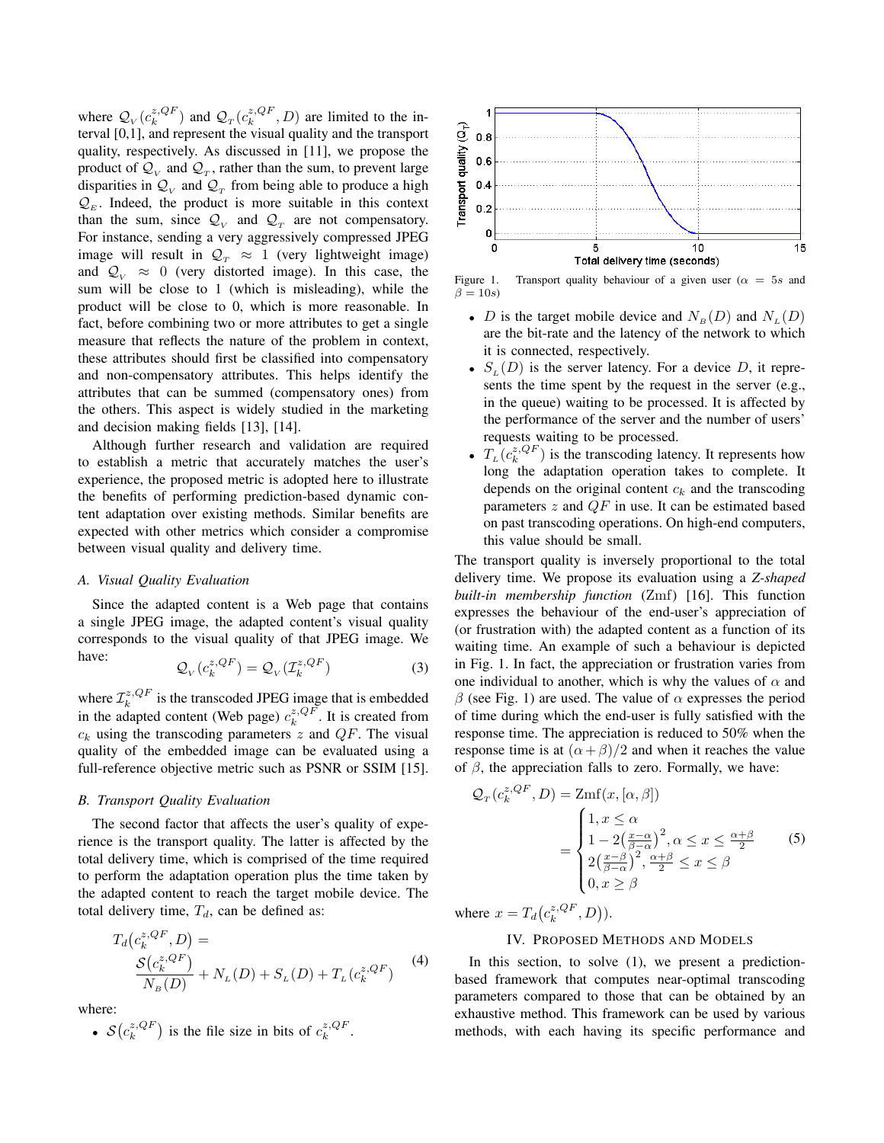where  $\mathcal{Q}_{V}(c_k^{z,QF})$  and  $\mathcal{Q}_{T}(c_k^{z,QF}, D)$  are limited to the interval [0,1], and represent the visual quality and the transport quality, respectively. As discussed in [11], we propose the product of  $\mathcal{Q}_{V}$  and  $\mathcal{Q}_{T}$ , rather than the sum, to prevent large disparities in  $\mathcal{Q}_{V}$  and  $\mathcal{Q}_{T}$  from being able to produce a high  $\mathcal{Q}_E$ . Indeed, the product is more suitable in this context than the sum, since  $\mathcal{Q}_{V}$  and  $\mathcal{Q}_{T}$  are not compensatory. For instance, sending a very aggressively compressed JPEG image will result in  $Q_T \approx 1$  (very lightweight image) and  $\mathcal{Q}_{V} \approx 0$  (very distorted image). In this case, the sum will be close to 1 (which is misleading), while the product will be close to 0, which is more reasonable. In fact, before combining two or more attributes to get a single measure that reflects the nature of the problem in context, these attributes should first be classified into compensatory and non-compensatory attributes. This helps identify the attributes that can be summed (compensatory ones) from the others. This aspect is widely studied in the marketing and decision making fields [13], [14].

Although further research and validation are required to establish a metric that accurately matches the user's experience, the proposed metric is adopted here to illustrate the benefits of performing prediction-based dynamic content adaptation over existing methods. Similar benefits are expected with other metrics which consider a compromise between visual quality and delivery time.

# *A. Visual Quality Evaluation*

Since the adapted content is a Web page that contains a single JPEG image, the adapted content's visual quality corresponds to the visual quality of that JPEG image. We have:

$$
\mathcal{Q}_{V}(c_{k}^{z,QF}) = \mathcal{Q}_{V}(\mathcal{I}_{k}^{z,QF})
$$
\n(3)

where  $\mathcal{I}_k^{z,QF}$  is the transcoded JPEG image that is embedded in the adapted content (Web page)  $c_k^{z,QF}$ . It is created from  $c_k$  using the transcoding parameters z and  $QF$ . The visual quality of the embedded image can be evaluated using a full-reference objective metric such as PSNR or SSIM [15].

# *B. Transport Quality Evaluation*

The second factor that affects the user's quality of experience is the transport quality. The latter is affected by the total delivery time, which is comprised of the time required to perform the adaptation operation plus the time taken by the adapted content to reach the target mobile device. The total delivery time,  $T_d$ , can be defined as:

$$
T_d(c_k^{z,QF}, D) =
$$
  
\n
$$
\frac{S(c_k^{z,QF})}{N_B(D)} + N_L(D) + S_L(D) + T_L(c_k^{z,QF})
$$
 (4)

where:

• 
$$
\mathcal{S}(c_k^{z,QF})
$$
 is the file size in bits of  $c_k^{z,QF}$ .



Figure 1. Transport quality behaviour of a given user ( $\alpha = 5s$  and  $\beta = 10s$ 

- *D* is the target mobile device and  $N_B(D)$  and  $N_L(D)$ are the bit-rate and the latency of the network to which it is connected, respectively.
- $S_L(D)$  is the server latency. For a device D, it represents the time spent by the request in the server (e.g., in the queue) waiting to be processed. It is affected by the performance of the server and the number of users' requests waiting to be processed.
- $T_L(c_k^{z,QF})$  is the transcoding latency. It represents how long the adaptation operation takes to complete. It depends on the original content  $c_k$  and the transcoding parameters  $z$  and  $QF$  in use. It can be estimated based on past transcoding operations. On high-end computers, this value should be small.

The transport quality is inversely proportional to the total delivery time. We propose its evaluation using a *Z-shaped built-in membership function* (Zmf) [16]. This function expresses the behaviour of the end-user's appreciation of (or frustration with) the adapted content as a function of its waiting time. An example of such a behaviour is depicted in Fig. 1. In fact, the appreciation or frustration varies from one individual to another, which is why the values of  $\alpha$  and  $\beta$  (see Fig. 1) are used. The value of  $\alpha$  expresses the period of time during which the end-user is fully satisfied with the response time. The appreciation is reduced to 50% when the response time is at  $(\alpha + \beta)/2$  and when it reaches the value of  $\beta$ , the appreciation falls to zero. Formally, we have:

$$
\mathcal{Q}_T(c_k^{z,QF}, D) = \text{Zmf}(x, [\alpha, \beta])
$$
\n
$$
= \begin{cases}\n1, x \le \alpha \\
1 - 2\left(\frac{x - \alpha}{\beta - \alpha}\right)^2, \alpha \le x \le \frac{\alpha + \beta}{2} \\
2\left(\frac{x - \beta}{\beta - \alpha}\right)^2, \frac{\alpha + \beta}{2} \le x \le \beta \\
0, x \ge \beta\n\end{cases}
$$
\n(5)

where  $x = T_d(c_k^{z,QF}, D)$ .

# IV. PROPOSED METHODS AND MODELS

In this section, to solve (1), we present a predictionbased framework that computes near-optimal transcoding parameters compared to those that can be obtained by an exhaustive method. This framework can be used by various methods, with each having its specific performance and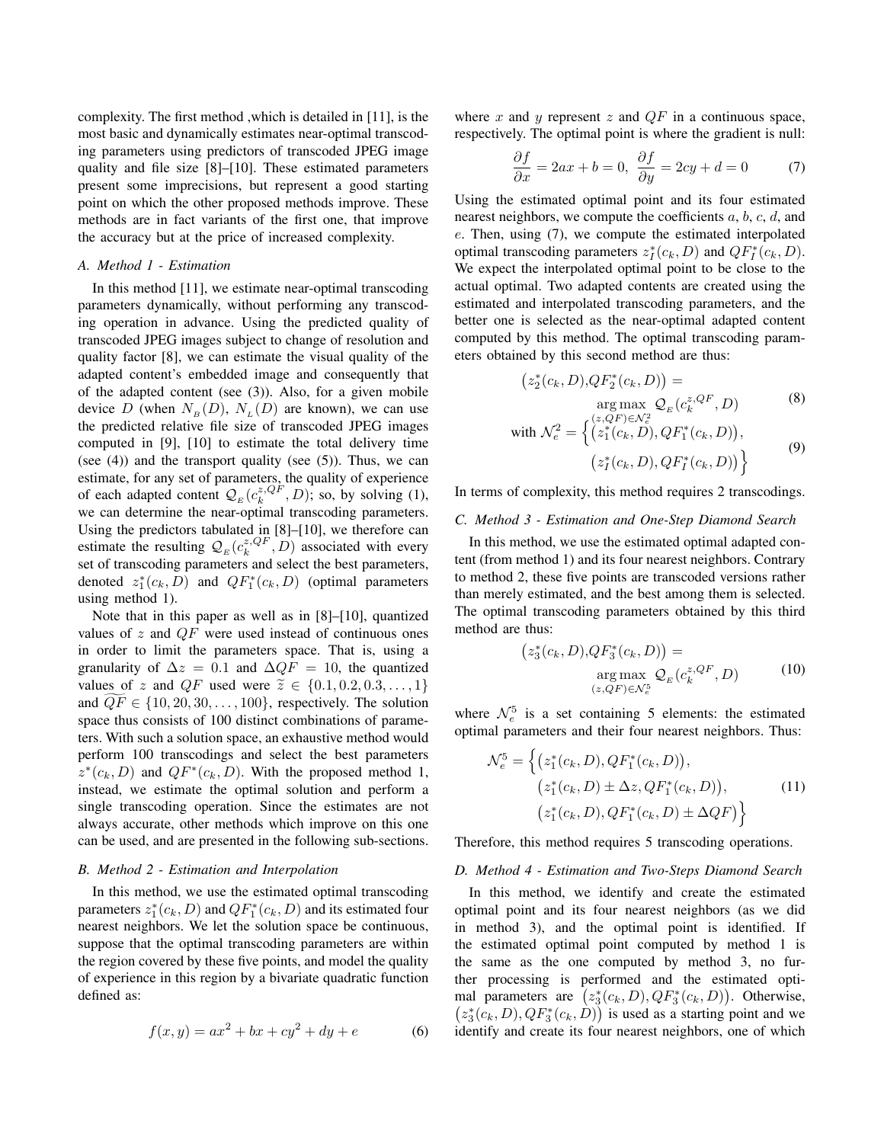complexity. The first method ,which is detailed in [11], is the most basic and dynamically estimates near-optimal transcoding parameters using predictors of transcoded JPEG image quality and file size [8]–[10]. These estimated parameters present some imprecisions, but represent a good starting point on which the other proposed methods improve. These methods are in fact variants of the first one, that improve the accuracy but at the price of increased complexity.

## *A. Method 1 - Estimation*

In this method [11], we estimate near-optimal transcoding parameters dynamically, without performing any transcoding operation in advance. Using the predicted quality of transcoded JPEG images subject to change of resolution and quality factor [8], we can estimate the visual quality of the adapted content's embedded image and consequently that of the adapted content (see (3)). Also, for a given mobile device D (when  $N_B(D)$ ,  $N_L(D)$  are known), we can use the predicted relative file size of transcoded JPEG images computed in [9], [10] to estimate the total delivery time (see  $(4)$ ) and the transport quality (see  $(5)$ ). Thus, we can estimate, for any set of parameters, the quality of experience of each adapted content  $\mathcal{Q}_E(c_k^{z,QF}, D)$ ; so, by solving (1), we can determine the near-optimal transcoding parameters. Using the predictors tabulated in [8]–[10], we therefore can estimate the resulting  $\mathcal{Q}_{E}(c_k^{z,QF}, D)$  associated with every set of transcoding parameters and select the best parameters, denoted  $z_1^*(c_k, D)$  and  $QF_1^*(c_k, D)$  (optimal parameters using method 1).

Note that in this paper as well as in [8]–[10], quantized values of  $z$  and  $QF$  were used instead of continuous ones in order to limit the parameters space. That is, using a granularity of  $\Delta z = 0.1$  and  $\Delta QF = 10$ , the quantized values of z and QF used were  $\tilde{z} \in \{0.1, 0.2, 0.3, \ldots, 1\}$ and  $QF \in \{10, 20, 30, \ldots, 100\}$ , respectively. The solution space thus consists of 100 distinct combinations of parameters. With such a solution space, an exhaustive method would perform 100 transcodings and select the best parameters  $z^*(c_k, D)$  and  $QF^*(c_k, D)$ . With the proposed method 1, instead, we estimate the optimal solution and perform a single transcoding operation. Since the estimates are not always accurate, other methods which improve on this one can be used, and are presented in the following sub-sections.

#### *B. Method 2 - Estimation and Interpolation*

In this method, we use the estimated optimal transcoding parameters  $z_1^*(c_k, D)$  and  $QF_1^*(c_k, D)$  and its estimated four nearest neighbors. We let the solution space be continuous, suppose that the optimal transcoding parameters are within the region covered by these five points, and model the quality of experience in this region by a bivariate quadratic function defined as:

$$
f(x, y) = ax^{2} + bx + cy^{2} + dy + e
$$
 (6)

where x and y represent z and  $QF$  in a continuous space, respectively. The optimal point is where the gradient is null:

$$
\frac{\partial f}{\partial x} = 2ax + b = 0, \ \frac{\partial f}{\partial y} = 2cy + d = 0 \tag{7}
$$

Using the estimated optimal point and its four estimated nearest neighbors, we compute the coefficients a, b, c, d, and e. Then, using (7), we compute the estimated interpolated optimal transcoding parameters  $z_I^*(c_k, D)$  and  $QF_I^*(c_k, D)$ . We expect the interpolated optimal point to be close to the actual optimal. Two adapted contents are created using the estimated and interpolated transcoding parameters, and the better one is selected as the near-optimal adapted content computed by this method. The optimal transcoding parameters obtained by this second method are thus:

$$
(z_2^*(c_k, D), QF_2^*(c_k, D)) =
$$
  
arg max  $Q_E(c_k^{z, QF}, D)$  (8)

with 
$$
\mathcal{N}_e^2 = \left\{ \begin{pmatrix} z, QF) \in \mathcal{N}_e^2 \\ (z_1^*(c_k, D), QF_1^*(c_k, D)), \\ (z_I^*(c_k, D), QF_I^*(c_k, D)) \end{pmatrix} \right\}
$$
(9)

In terms of complexity, this method requires 2 transcodings.

#### *C. Method 3 - Estimation and One-Step Diamond Search*

In this method, we use the estimated optimal adapted content (from method 1) and its four nearest neighbors. Contrary to method 2, these five points are transcoded versions rather than merely estimated, and the best among them is selected. The optimal transcoding parameters obtained by this third method are thus:

$$
(z_3^*(c_k, D), QF_3^*(c_k, D)) =
$$
  
arg max  $Q_E(c_k^{z, QF}, D)$   
 $(z, QF) \in \mathcal{N}_c^5$  (10)

where  $\mathcal{N}_e^5$  is a set containing 5 elements: the estimated optimal parameters and their four nearest neighbors. Thus:

$$
\mathcal{N}_e^5 = \left\{ (z_1^*(c_k, D), QF_1^*(c_k, D)), (z_1^*(c_k, D) \pm \Delta z, QF_1^*(c_k, D)), \qquad (11) (z_1^*(c_k, D), QF_1^*(c_k, D) \pm \Delta QF) \right\}
$$

Therefore, this method requires 5 transcoding operations.

#### *D. Method 4 - Estimation and Two-Steps Diamond Search*

In this method, we identify and create the estimated optimal point and its four nearest neighbors (as we did in method 3), and the optimal point is identified. If the estimated optimal point computed by method 1 is the same as the one computed by method 3, no further processing is performed and the estimated optimal parameters are  $(z_3^*(c_k, D), QF_3^*(c_k, D))$ . Otherwise,  $(z_3^*(c_k, D), QF_3^*(c_k, D))$  is used as a starting point and we identify and create its four nearest neighbors, one of which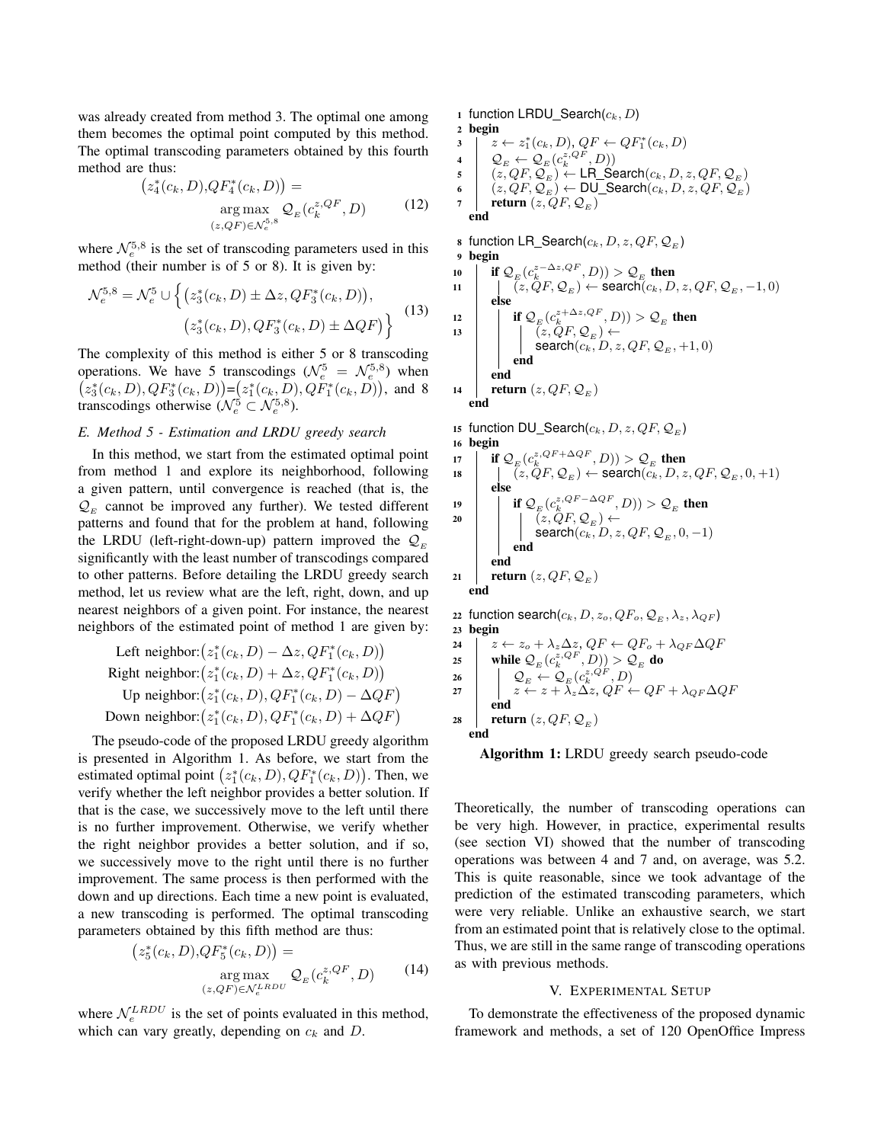was already created from method 3. The optimal one among them becomes the optimal point computed by this method. The optimal transcoding parameters obtained by this fourth method are thus:

$$
(z_4^*(c_k, D), QF_4^*(c_k, D)) = \underset{(z, QF) \in \mathcal{N}_c^{5,8}}{\arg \max} \mathcal{Q}_E(c_k^{z, QF}, D) \tag{12}
$$

where  $\mathcal{N}_e^{5,8}$  is the set of transcoding parameters used in this method (their number is of 5 or 8). It is given by:

$$
\mathcal{N}_e^{5,8} = \mathcal{N}_e^5 \cup \left\{ \left( z_3^*(c_k, D) \pm \Delta z, QF_3^*(c_k, D) \right), \right. \\ \left. \left( z_3^*(c_k, D), QF_3^*(c_k, D) \pm \Delta QF \right) \right\} \tag{13}
$$

The complexity of this method is either 5 or 8 transcoding operations. We have 5 transcodings ( $\mathcal{N}_e^5 = \mathcal{N}_e^{5,8}$ ) when  $(z_3^*(c_k, D), QF_3^*(c_k, D)) = (z_1^*(c_k, D), QF_1^*(c_k, D))$ , and 8 transcodings otherwise  $(\mathcal{N}_e^5 \subset \mathcal{N}_e^{5,8})$ .

# *E. Method 5 - Estimation and LRDU greedy search*

In this method, we start from the estimated optimal point from method 1 and explore its neighborhood, following a given pattern, until convergence is reached (that is, the  $\mathcal{Q}_E$  cannot be improved any further). We tested different patterns and found that for the problem at hand, following the LRDU (left-right-down-up) pattern improved the  $\mathcal{Q}_E$ significantly with the least number of transcodings compared to other patterns. Before detailing the LRDU greedy search method, let us review what are the left, right, down, and up nearest neighbors of a given point. For instance, the nearest neighbors of the estimated point of method 1 are given by:

Left neighbor: 
$$
(z_1^*(c_k, D) - \Delta z, QF_1^*(c_k, D))
$$
  
\nRight neighbor:  $(z_1^*(c_k, D) + \Delta z, QF_1^*(c_k, D))$   
\nUp neighbor:  $(z_1^*(c_k, D), QF_1^*(c_k, D) - \Delta QF)$   
\nDown neighbor:  $(z_1^*(c_k, D), QF_1^*(c_k, D) + \Delta QF)$ 

The pseudo-code of the proposed LRDU greedy algorithm is presented in Algorithm 1. As before, we start from the estimated optimal point  $(z_1^*(c_k, D), QF_1^*(c_k, D))$ . Then, we verify whether the left neighbor provides a better solution. If that is the case, we successively move to the left until there is no further improvement. Otherwise, we verify whether the right neighbor provides a better solution, and if so, we successively move to the right until there is no further improvement. The same process is then performed with the down and up directions. Each time a new point is evaluated, a new transcoding is performed. The optimal transcoding parameters obtained by this fifth method are thus:

$$
(z_5^*(c_k, D), QF_5^*(c_k, D)) = \underset{(z, QF) \in \mathcal{N}_e^{LRDU}}{\arg \max} \mathcal{Q}_E(c_k^{z, QF}, D) \tag{14}
$$

where  $\mathcal{N}_e^{LRDU}$  is the set of points evaluated in this method, which can vary greatly, depending on  $c_k$  and D.

1 function LRDU Search $(c_k, D)$ <sup>2</sup> begin  $3 \mid z \leftarrow z_1^*(c_k, D), QF \leftarrow QF_1^*(c_k, D)$ 4  $\mathcal{Q}_E \leftarrow \mathcal{Q}_E(c_k^{z, QF}, D)$  $\mathsf{s} \quad | \quad (z, QF, \mathcal{Q}_E) \leftarrow \mathsf{LR\_Search}(c_k, D, z, QF, \mathcal{Q}_E)$ 6  $(z, QF, Q_E) \leftarrow \text{DU\_Search}(c_k, D, z, QF, Q_E)$ <br>
return  $(z, QF, Q_E)$ return  $(z, QF, \mathcal{Q}_E)$ end s function LR\_Search $(c_k, D, z, QF, Q_E)$ <sup>9</sup> begin 10 if  $\mathcal{Q}_E(c_k^{z-\Delta z, QF}, D)) > \mathcal{Q}_E$  then 11  $\vert$   $\vert$   $(z, QF, \mathcal{Q}_E) \leftarrow$  search $(c_k, D, z, QF, \mathcal{Q}_E, -1, 0)$ else 12 **if**  $\mathcal{Q}_E(c_k^{z+\Delta z, QF}, D)) > \mathcal{Q}_E$  then 13  $\vert$   $\vert$   $(z, QF, \mathcal{Q}_E) \leftarrow$  $\mathsf{search}(c_k, D, z, QF, \mathcal{Q}_E, +1, 0)$ end end 14 **return**  $(z, QF, Q<sub>E</sub>)$ end 15 function DU\_Search $(c_k, D, z, QF, Q_E)$ <sup>16</sup> begin 17 if  $\mathcal{Q}_E(c_k^{z, QF + \Delta QF}, D)) > \mathcal{Q}_E$  then 18  $( z, QF, \mathcal{Q}_E ) \leftarrow \text{search}(c_k, D, z, QF, \mathcal{Q}_E, 0, +1)$ else 19 if  $\mathcal{Q}_E(c_k^{z, QF - \Delta QF}, D)) > \mathcal{Q}_E$  then 20  $\vert$   $\vert$   $(z, QF, \mathcal{Q}_E) \leftarrow$ search $(c_k, D, z, QF, \mathcal{Q}_E, 0, -1)$ end end 21 **return**  $(z, QF, Q_E)$ end 22 function search $(c_k, D, z_o, QF_o, \mathcal{Q}_E, \lambda_z, \lambda_{QF})$ <sup>23</sup> begin 24  $z \leftarrow z_o + \lambda_z \Delta z$ ,  $QF \leftarrow QF_o + \lambda_{QF} \Delta QF$ 25 while  $\mathcal{Q}_E(c_k^{z,QF},D)) > \mathcal{Q}_E$  do

<sup>26</sup> Q<sup>E</sup> ← Q<sup>E</sup> (c z,QF , D) k <sup>27</sup> z ← z + λz∆z, QF ← QF + λQF ∆QF end <sup>28</sup> return (z, QF, Q<sup>E</sup> ) end

Algorithm 1: LRDU greedy search pseudo-code

Theoretically, the number of transcoding operations can be very high. However, in practice, experimental results (see section VI) showed that the number of transcoding operations was between 4 and 7 and, on average, was 5.2. This is quite reasonable, since we took advantage of the prediction of the estimated transcoding parameters, which were very reliable. Unlike an exhaustive search, we start from an estimated point that is relatively close to the optimal. Thus, we are still in the same range of transcoding operations as with previous methods.

# V. EXPERIMENTAL SETUP

To demonstrate the effectiveness of the proposed dynamic framework and methods, a set of 120 OpenOffice Impress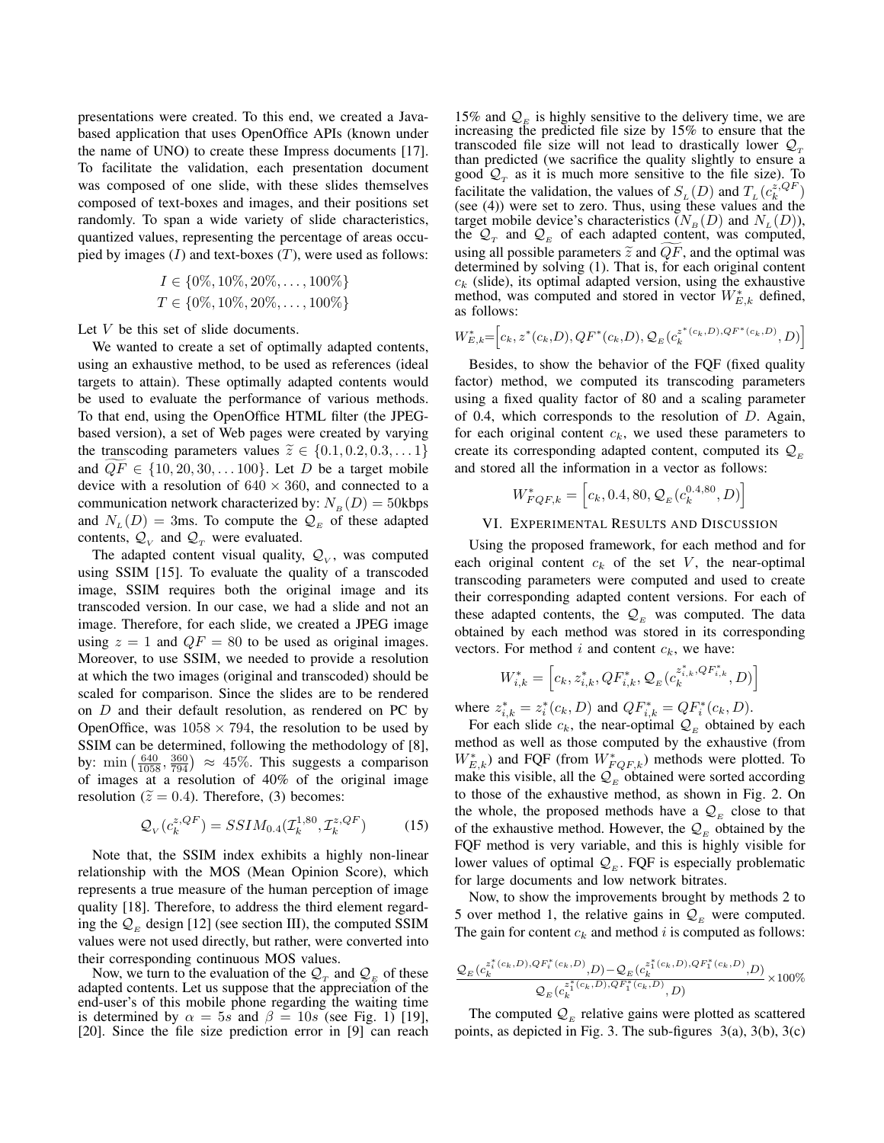presentations were created. To this end, we created a Javabased application that uses OpenOffice APIs (known under the name of UNO) to create these Impress documents [17]. To facilitate the validation, each presentation document was composed of one slide, with these slides themselves composed of text-boxes and images, and their positions set randomly. To span a wide variety of slide characteristics, quantized values, representing the percentage of areas occupied by images  $(I)$  and text-boxes  $(T)$ , were used as follows:

$$
I \in \{0\%, 10\%, 20\%, \dots, 100\%\}
$$
  

$$
T \in \{0\%, 10\%, 20\%, \dots, 100\%\}
$$

Let  $V$  be this set of slide documents.

We wanted to create a set of optimally adapted contents, using an exhaustive method, to be used as references (ideal targets to attain). These optimally adapted contents would be used to evaluate the performance of various methods. To that end, using the OpenOffice HTML filter (the JPEGbased version), a set of Web pages were created by varying the transcoding parameters values  $\tilde{z} \in \{0.1, 0.2, 0.3, \dots 1\}$ and  $QF \in \{10, 20, 30, \ldots, 100\}$ . Let D be a target mobile device with a resolution of  $640 \times 360$ , and connected to a communication network characterized by:  $N_B (D) = 50$ kbps and  $N_L(D) = 3$ ms. To compute the  $\mathcal{Q}_E$  of these adapted contents,  $\mathcal{Q}_{V}$  and  $\mathcal{Q}_{T}$  were evaluated.

The adapted content visual quality,  $\mathcal{Q}_{V}$ , was computed using SSIM [15]. To evaluate the quality of a transcoded image, SSIM requires both the original image and its transcoded version. In our case, we had a slide and not an image. Therefore, for each slide, we created a JPEG image using  $z = 1$  and  $QF = 80$  to be used as original images. Moreover, to use SSIM, we needed to provide a resolution at which the two images (original and transcoded) should be scaled for comparison. Since the slides are to be rendered on D and their default resolution, as rendered on PC by OpenOffice, was  $1058 \times 794$ , the resolution to be used by SSIM can be determined, following the methodology of [8], by: min  $\left(\frac{640}{1058}, \frac{360}{794}\right) \approx 45\%$ . This suggests a comparison of images at a resolution of 40% of the original image resolution ( $\tilde{z} = 0.4$ ). Therefore, (3) becomes:

$$
\mathcal{Q}_{V}(c_{k}^{z,QF}) = SSIM_{0.4}(\mathcal{I}_{k}^{1,80}, \mathcal{I}_{k}^{z,QF})
$$
 (15)

Note that, the SSIM index exhibits a highly non-linear relationship with the MOS (Mean Opinion Score), which represents a true measure of the human perception of image quality [18]. Therefore, to address the third element regarding the  $Q_{E}$  design [12] (see section III), the computed SSIM values were not used directly, but rather, were converted into their corresponding continuous MOS values.

Now, we turn to the evaluation of the  $\mathcal{Q}_T$  and  $\mathcal{Q}_E$  of these adapted contents. Let us suppose that the appreciation of the end-user's of this mobile phone regarding the waiting time is determined by  $\alpha = 5s$  and  $\beta = 10s$  (see Fig. 1) [19], [20]. Since the file size prediction error in [9] can reach

15% and  $\mathcal{Q}_E$  is highly sensitive to the delivery time, we are increasing the predicted file size by 15% to ensure that the transcoded file size will not lead to drastically lower  $\mathcal{Q}_T$ than predicted (we sacrifice the quality slightly to ensure a good  $\mathcal{Q}_T$  as it is much more sensitive to the file size). To facilitate the validation, the values of  $S_L(D)$  and  $T_L(c_k^{z,QF})$ (see (4)) were set to zero. Thus, using these values and the target mobile device's characteristics  $(N_B(D)$  and  $N_L(D)$ ), the  $\mathcal{Q}_T$  and  $\mathcal{Q}_E$  of each adapted content, was computed, using all possible parameters  $\tilde{z}$  and  $\tilde{Q}F$ , and the optimal was determined by solving (1). That is, for each original content  $c_k$  (slide), its optimal adapted version, using the exhaustive method, was computed and stored in vector  $W_{E,k}^*$  defined, as follows:

$$
W_{E,k}^{*} = \left[c_k, z^*(c_k, D), QF^*(c_k, D), \mathcal{Q}_E(c_k^{z^*(c_k, D), QF^*(c_k, D)}, D)\right]
$$

Besides, to show the behavior of the FQF (fixed quality factor) method, we computed its transcoding parameters using a fixed quality factor of 80 and a scaling parameter of 0.4, which corresponds to the resolution of D. Again, for each original content  $c_k$ , we used these parameters to create its corresponding adapted content, computed its  $\mathcal{Q}_E$ and stored all the information in a vector as follows:

$$
W_{FQF,k}^{*} = \left[c_k, 0.4, 80, \mathcal{Q}_E(c_k^{0.4, 80}, D)\right]
$$

# VI. EXPERIMENTAL RESULTS AND DISCUSSION

Using the proposed framework, for each method and for each original content  $c_k$  of the set V, the near-optimal transcoding parameters were computed and used to create their corresponding adapted content versions. For each of these adapted contents, the  $\mathcal{Q}_E$  was computed. The data obtained by each method was stored in its corresponding vectors. For method  $i$  and content  $c_k$ , we have:

$$
W_{i,k}^* = \left[c_k, z_{i,k}^*, QF_{i,k}^*, \mathcal{Q}_E(c_k^{z_{i,k}^*, QF_{i,k}^*}, D)\right]
$$

where  $z_{i,k}^* = z_i^*(c_k, D)$  and  $QF_{i,k}^* = QF_i^*(c_k, D)$ .

For each slide  $c_k$ , the near-optimal  $\mathcal{Q}_E$  obtained by each method as well as those computed by the exhaustive (from  $W_{E,k}^*$ ) and FQF (from  $W_{FQF,k}^*$ ) methods were plotted. To make this visible, all the  $Q_E$  obtained were sorted according to those of the exhaustive method, as shown in Fig. 2. On the whole, the proposed methods have a  $\mathcal{Q}_E$  close to that of the exhaustive method. However, the  $\mathcal{Q}_E$  obtained by the FQF method is very variable, and this is highly visible for lower values of optimal  $Q<sub>E</sub>$ . FQF is especially problematic for large documents and low network bitrates.

Now, to show the improvements brought by methods 2 to 5 over method 1, the relative gains in  $\mathcal{Q}_E$  were computed. The gain for content  $c_k$  and method i is computed as follows:

$$
\frac{\mathcal{Q}_{E}(c_{k}^{z_{i}^{*}(c_{k},D),QF_{i}^{*}(c_{k},D)},D)-\mathcal{Q}_{E}(c_{k}^{z_{1}^{*}(c_{k},D),QF_{1}^{*}(c_{k},D)},D)}{\mathcal{Q}_{E}(c_{k}^{z_{1}^{*}(c_{k},D),QF_{1}^{*}(c_{k},D)},D)}\times100\%
$$

The computed  $\mathcal{Q}_E$  relative gains were plotted as scattered points, as depicted in Fig. 3. The sub-figures 3(a), 3(b), 3(c)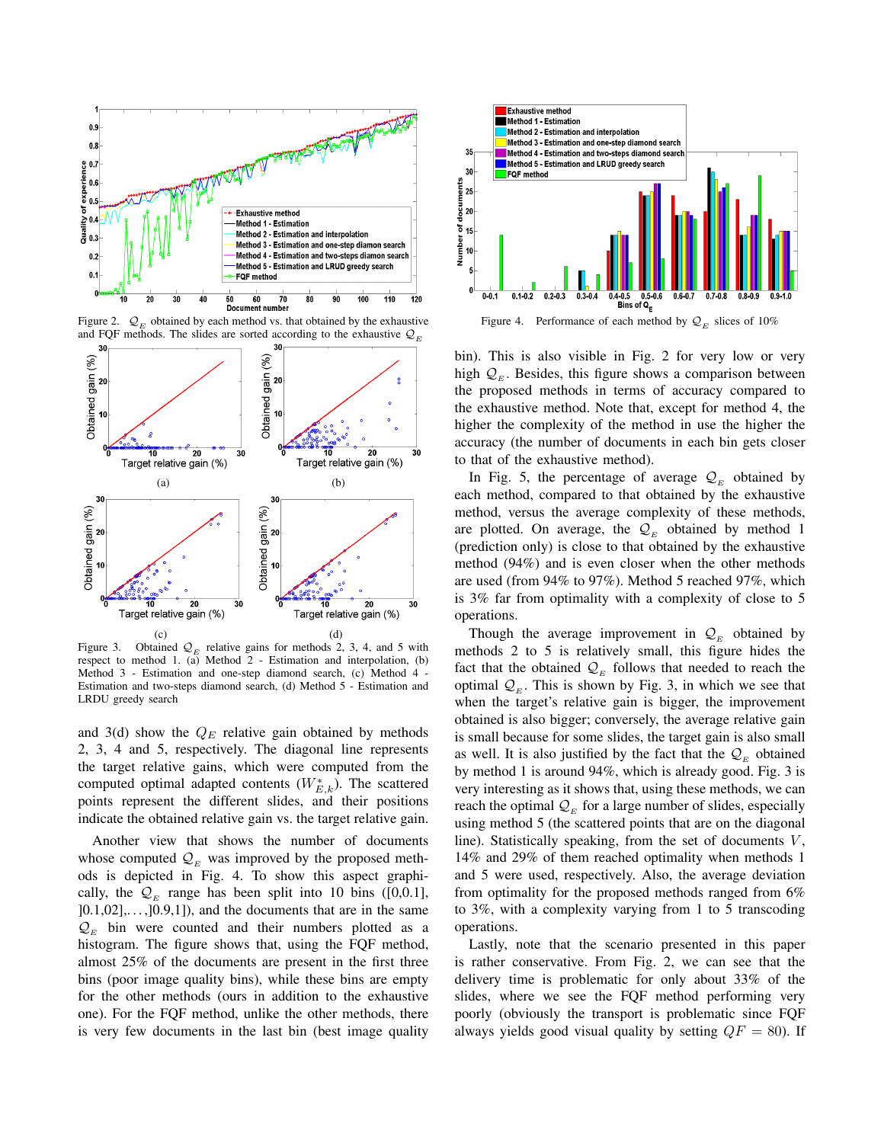

Figure 2.  $\mathcal{Q}_E$  obtained by each method vs. that obtained by the exhaustive and FQF methods. The slides are sorted according to the exhaustive  $\mathcal{Q}_E$ <br>30



Figure 3. Obtained  $\mathcal{Q}_E$  relative gains for methods 2, 3, 4, and 5 with respect to method 1. (a) Method 2 - Estimation and interpolation, (b) Method 3 - Estimation and one-step diamond search, (c) Method 4 - Estimation and two-steps diamond search, (d) Method 5 - Estimation and LRDU greedy search

and 3(d) show the  $Q_E$  relative gain obtained by methods 2, 3, 4 and 5, respectively. The diagonal line represents the target relative gains, which were computed from the computed optimal adapted contents  $(W_{E,k}^*)$ . The scattered points represent the different slides, and their positions indicate the obtained relative gain vs. the target relative gain.

Another view that shows the number of documents whose computed  $\mathcal{Q}_E$  was improved by the proposed methods is depicted in Fig. 4. To show this aspect graphically, the  $\mathcal{Q}_E$  range has been split into 10 bins ([0,0.1],  $[0.1, 02], \ldots, [0.9, 1]$ , and the documents that are in the same  $\mathcal{Q}_{E}$  bin were counted and their numbers plotted as a histogram. The figure shows that, using the FQF method, almost 25% of the documents are present in the first three bins (poor image quality bins), while these bins are empty for the other methods (ours in addition to the exhaustive one). For the FQF method, unlike the other methods, there is very few documents in the last bin (best image quality



Figure 4. Performance of each method by  $\mathcal{Q}_E$  slices of 10%

bin). This is also visible in Fig. 2 for very low or very high  $\mathcal{Q}_E$ . Besides, this figure shows a comparison between the proposed methods in terms of accuracy compared to the exhaustive method. Note that, except for method 4, the higher the complexity of the method in use the higher the accuracy (the number of documents in each bin gets closer to that of the exhaustive method).

In Fig. 5, the percentage of average  $Q_{E}$  obtained by each method, compared to that obtained by the exhaustive method, versus the average complexity of these methods, are plotted. On average, the  $\mathcal{Q}_E$  obtained by method 1 (prediction only) is close to that obtained by the exhaustive method (94%) and is even closer when the other methods are used (from 94% to 97%). Method 5 reached 97%, which is 3% far from optimality with a complexity of close to 5 operations.

Though the average improvement in  $\mathcal{Q}_E$  obtained by methods 2 to 5 is relatively small, this figure hides the fact that the obtained  $\mathcal{Q}_E$  follows that needed to reach the optimal  $Q<sub>E</sub>$ . This is shown by Fig. 3, in which we see that when the target's relative gain is bigger, the improvement obtained is also bigger; conversely, the average relative gain is small because for some slides, the target gain is also small as well. It is also justified by the fact that the  $\mathcal{Q}_E$  obtained by method 1 is around 94%, which is already good. Fig. 3 is very interesting as it shows that, using these methods, we can reach the optimal  $Q<sub>E</sub>$  for a large number of slides, especially using method 5 (the scattered points that are on the diagonal line). Statistically speaking, from the set of documents  $V$ , 14% and 29% of them reached optimality when methods 1 and 5 were used, respectively. Also, the average deviation from optimality for the proposed methods ranged from 6% to 3%, with a complexity varying from 1 to 5 transcoding operations.

Lastly, note that the scenario presented in this paper is rather conservative. From Fig. 2, we can see that the delivery time is problematic for only about 33% of the slides, where we see the FQF method performing very poorly (obviously the transport is problematic since FQF always yields good visual quality by setting  $QF = 80$ ). If